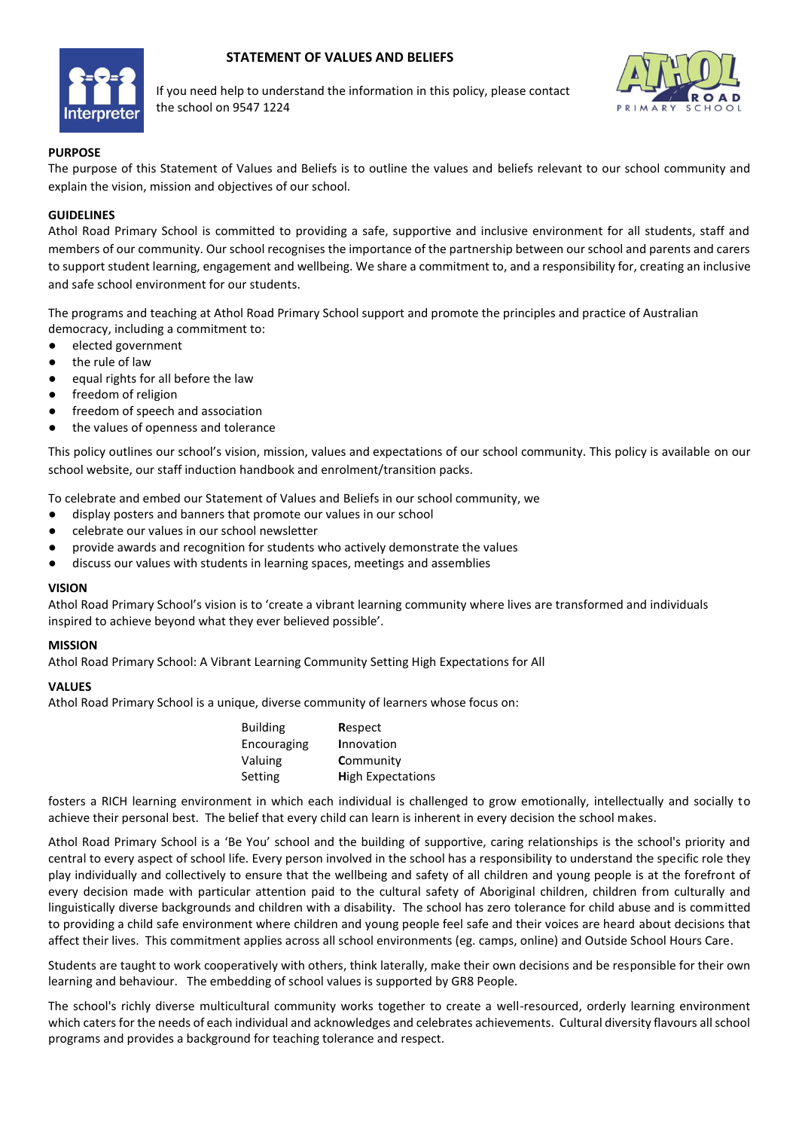# **STATEMENT OF VALUES AND BELIEFS**



If you need help to understand the information in this policy, please contact the school on 9547 1224



#### **PURPOSE**

The purpose of this Statement of Values and Beliefs is to outline the values and beliefs relevant to our school community and explain the vision, mission and objectives of our school.

#### **GUIDELINES**

Athol Road Primary School is committed to providing a safe, supportive and inclusive environment for all students, staff and members of our community. Our school recognises the importance of the partnership between our school and parents and carers to support student learning, engagement and wellbeing. We share a commitment to, and a responsibility for, creating an inclusive and safe school environment for our students.

The programs and teaching at Athol Road Primary School support and promote the principles and practice of Australian democracy, including a commitment to:

- elected government
- the rule of law
- equal rights for all before the law
- freedom of religion
- freedom of speech and association
- the values of openness and tolerance

This policy outlines our school's vision, mission, values and expectations of our school community. This policy is available on our school website, our staff induction handbook and enrolment/transition packs.

To celebrate and embed our Statement of Values and Beliefs in our school community, we

- display posters and banners that promote our values in our school
- celebrate our values in our school newsletter
- provide awards and recognition for students who actively demonstrate the values
- discuss our values with students in learning spaces, meetings and assemblies

#### **VISION**

Athol Road Primary School's vision is to 'create a vibrant learning community where lives are transformed and individuals inspired to achieve beyond what they ever believed possible'.

#### **MISSION**

Athol Road Primary School: A Vibrant Learning Community Setting High Expectations for All

#### **VALUES**

Athol Road Primary School is a unique, diverse community of learners whose focus on:

| <b>Building</b> | Respect                  |
|-----------------|--------------------------|
| Encouraging     | Innovation               |
| Valuing         | Community                |
| Setting         | <b>High Expectations</b> |

fosters a RICH learning environment in which each individual is challenged to grow emotionally, intellectually and socially to achieve their personal best. The belief that every child can learn is inherent in every decision the school makes.

Athol Road Primary School is a 'Be You' school and the building of supportive, caring relationships is the school's priority and central to every aspect of school life. Every person involved in the school has a responsibility to understand the specific role they play individually and collectively to ensure that the wellbeing and safety of all children and young people is at the forefront of every decision made with particular attention paid to the cultural safety of Aboriginal children, children from culturally and linguistically diverse backgrounds and children with a disability. The school has zero tolerance for child abuse and is committed to providing a child safe environment where children and young people feel safe and their voices are heard about decisions that affect their lives. This commitment applies across all school environments (eg. camps, online) and Outside School Hours Care.

Students are taught to work cooperatively with others, think laterally, make their own decisions and be responsible for their own learning and behaviour. The embedding of school values is supported by GR8 People.

The school's richly diverse multicultural community works together to create a well-resourced, orderly learning environment which caters for the needs of each individual and acknowledges and celebrates achievements. Cultural diversity flavours all school programs and provides a background for teaching tolerance and respect.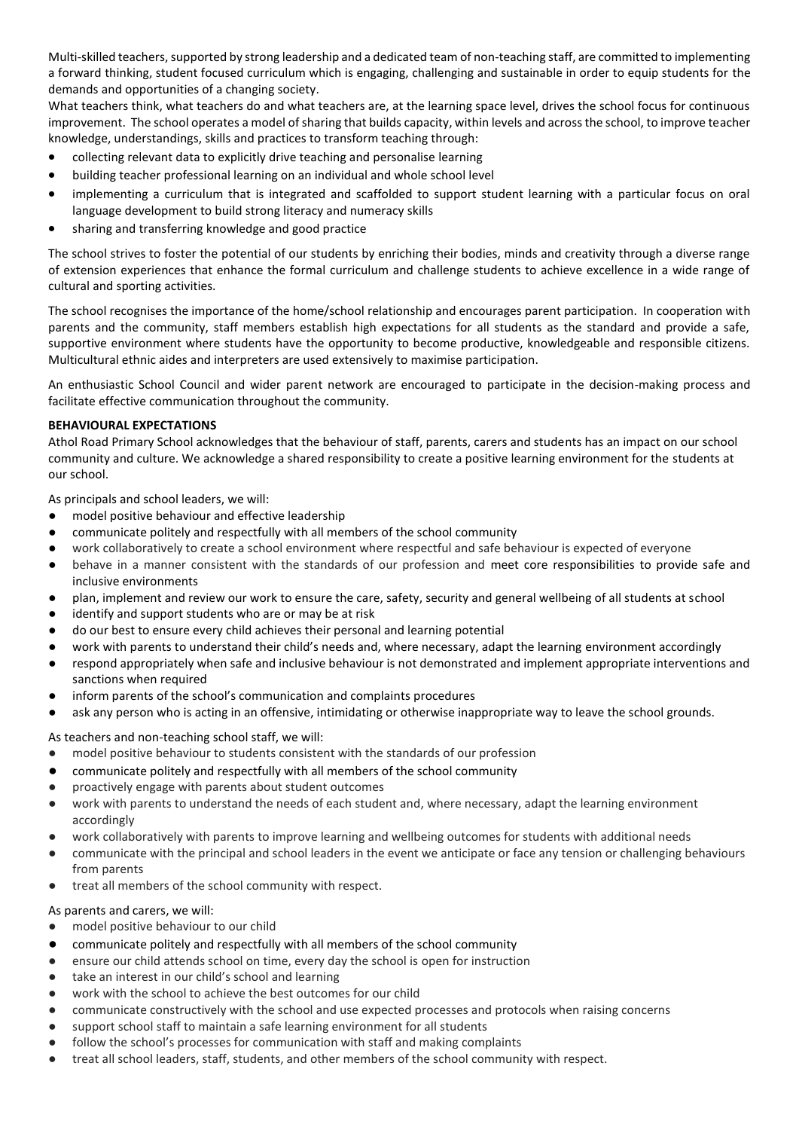Multi-skilled teachers, supported by strong leadership and a dedicated team of non-teaching staff, are committed to implementing a forward thinking, student focused curriculum which is engaging, challenging and sustainable in order to equip students for the demands and opportunities of a changing society.

What teachers think, what teachers do and what teachers are, at the learning space level, drives the school focus for continuous improvement. The school operates a model of sharing that builds capacity, within levels and across the school, to improve teacher knowledge, understandings, skills and practices to transform teaching through:

- collecting relevant data to explicitly drive teaching and personalise learning
- building teacher professional learning on an individual and whole school level
- implementing a curriculum that is integrated and scaffolded to support student learning with a particular focus on oral language development to build strong literacy and numeracy skills
- sharing and transferring knowledge and good practice

The school strives to foster the potential of our students by enriching their bodies, minds and creativity through a diverse range of extension experiences that enhance the formal curriculum and challenge students to achieve excellence in a wide range of cultural and sporting activities.

The school recognises the importance of the home/school relationship and encourages parent participation. In cooperation with parents and the community, staff members establish high expectations for all students as the standard and provide a safe, supportive environment where students have the opportunity to become productive, knowledgeable and responsible citizens. Multicultural ethnic aides and interpreters are used extensively to maximise participation.

An enthusiastic School Council and wider parent network are encouraged to participate in the decision-making process and facilitate effective communication throughout the community.

### **BEHAVIOURAL EXPECTATIONS**

Athol Road Primary School acknowledges that the behaviour of staff, parents, carers and students has an impact on our school community and culture. We acknowledge a shared responsibility to create a positive learning environment for the students at our school.

As principals and school leaders, we will:

- model positive behaviour and effective leadership
- communicate politely and respectfully with all members of the school community
- work collaboratively to create a school environment where respectful and safe behaviour is expected of everyone
- behave in a manner consistent with the standards of our profession and meet core responsibilities to provide safe and inclusive environments
- plan, implement and review our work to ensure the care, safety, security and general wellbeing of all students at school
- identify and support students who are or may be at risk
- do our best to ensure every child achieves their personal and learning potential
- work with parents to understand their child's needs and, where necessary, adapt the learning environment accordingly
- respond appropriately when safe and inclusive behaviour is not demonstrated and implement appropriate interventions and sanctions when required
- inform parents of the school's communication and complaints procedures
- ask any person who is acting in an offensive, intimidating or otherwise inappropriate way to leave the school grounds.

As teachers and non-teaching school staff, we will:

- model positive behaviour to students consistent with the standards of our profession
- communicate politely and respectfully with all members of the school community
- proactively engage with parents about student outcomes
- work with parents to understand the needs of each student and, where necessary, adapt the learning environment accordingly
- work collaboratively with parents to improve learning and wellbeing outcomes for students with additional needs
- communicate with the principal and school leaders in the event we anticipate or face any tension or challenging behaviours from parents
- treat all members of the school community with respect.

### As parents and carers, we will:

- model positive behaviour to our child
- communicate politely and respectfully with all members of the school community
- ensure our child attends school on time, every day the school is open for instruction
- take an interest in our child's school and learning
- work with the school to achieve the best outcomes for our child
- communicate constructively with the school and use expected processes and protocols when raising concerns
- support school staff to maintain a safe learning environment for all students
- follow the school's processes for communication with staff and making complaints
- treat all school leaders, staff, students, and other members of the school community with respect.